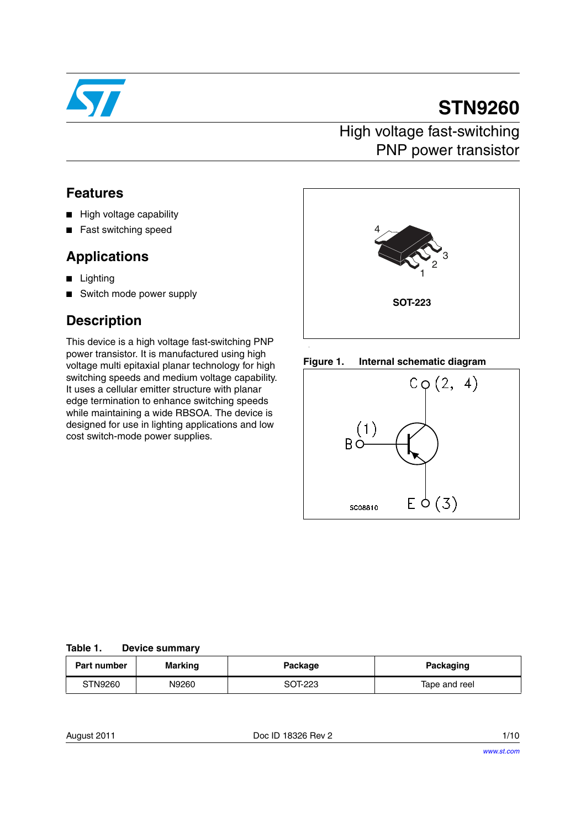

# **STN9260**

## High voltage fast-switching PNP power transistor

#### **Features**

- High voltage capability
- Fast switching speed

### **Applications**

- Lighting
- Switch mode power supply

## **Description**

This device is a high voltage fast-switching PNP power transistor. It is manufactured using high voltage multi epitaxial planar technology for high switching speeds and medium voltage capability. It uses a cellular emitter structure with planar edge termination to enhance switching speeds while maintaining a wide RBSOA. The device is designed for use in lighting applications and low cost switch-mode power supplies.







| Table 1. | <b>Device summary</b> |
|----------|-----------------------|
|----------|-----------------------|

| Part number | Marking | Package | Packaging     |
|-------------|---------|---------|---------------|
| STN9260     | N9260   | SOT-223 | Tape and reel |

August 2011 **Doc ID 18326 Rev 2 Doc ID 18326 Rev 2 1/10**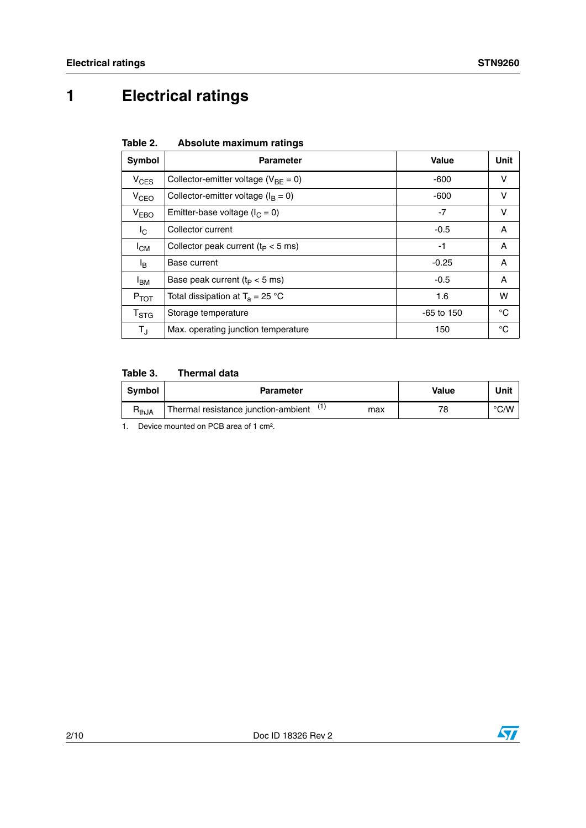## **1 Electrical ratings**

| Table 2. | Absolute maximum ratings |  |
|----------|--------------------------|--|
|          |                          |  |

| Symbol                    | <b>Parameter</b>                                         | Value        | Unit |
|---------------------------|----------------------------------------------------------|--------------|------|
| $V_{CES}$                 | Collector-emitter voltage ( $V_{BF} = 0$ )               | $-600$       | v    |
| V <sub>CEO</sub>          | Collector-emitter voltage ( $I_B = 0$ )                  | $-600$       | v    |
| V <sub>EBO</sub>          | Emitter-base voltage ( $I_C = 0$ )                       | $-7$         | v    |
| <sup>I</sup> C            | Collector current                                        | $-0.5$       | A    |
| $I_{CM}$                  | Collector peak current ( $t_P < 5$ ms)                   | -1           | A    |
| l <sub>B</sub>            | Base current                                             | $-0.25$      | A    |
| <b>I<sub>BM</sub></b>     | Base peak current ( $t_P < 5$ ms)                        | $-0.5$       | Α    |
| $P_{TOT}$                 | Total dissipation at $T_a = 25 \text{ }^{\circ}\text{C}$ | 1.6          | w    |
| $\mathsf{T}_{\text{STG}}$ | Storage temperature                                      | $-65$ to 150 | °C   |
| $T_{\rm J}$               | Max. operating junction temperature                      | 150          | °C   |

#### **Table 3. Thermal data**

| Thermal resistance junction-ambient<br>78<br>$R_{thJA}$<br>max | Symbol | <b>Parameter</b> | Value | Unit               |
|----------------------------------------------------------------|--------|------------------|-------|--------------------|
|                                                                |        |                  |       | $\rm ^{\circ}$ C/W |

1. Device mounted on PCB area of 1 cm².

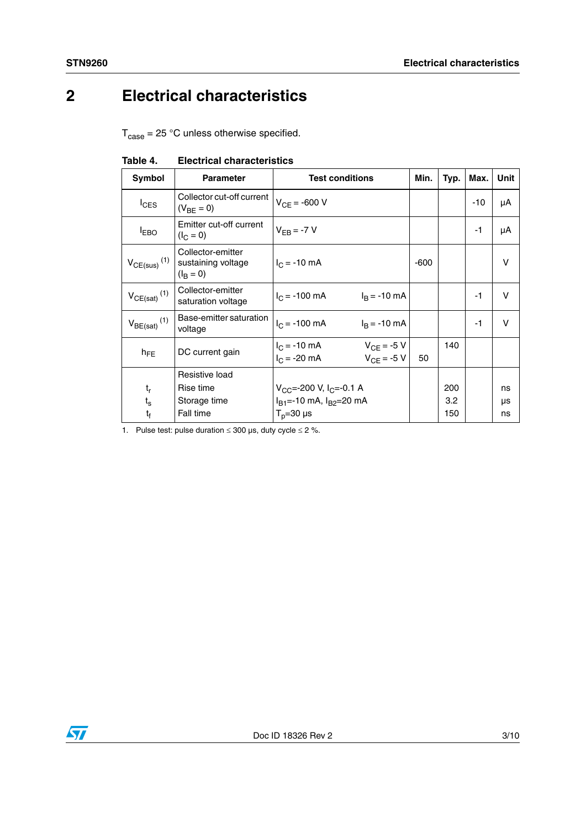## **2 Electrical characteristics**

 $T_{\text{case}} = 25 \text{ °C}$  unless otherwise specified.

| Symbol                       | <b>Parameter</b>                                             | <b>Test conditions</b>                                                 | Min.   | Typ. | Max. | <b>Unit</b> |
|------------------------------|--------------------------------------------------------------|------------------------------------------------------------------------|--------|------|------|-------------|
| $I_{CES}$                    | Collector cut-off current<br>$(V_{BE} = 0)$                  | $V_{CF} = -600 V$                                                      |        |      | -10  | μA          |
| <b>EBO</b>                   | Emitter cut-off current<br>$(I_C = 0)$                       | $V_{FR} = -7 V$                                                        |        |      | -1   | μA          |
| $V_{CE(sus)}$ <sup>(1)</sup> | Collector-emitter<br>sustaining voltage<br>$(I_{\rm B} = 0)$ | $I_C = -10$ mA                                                         | $-600$ |      |      | $\vee$      |
| $V_{CE(sat)}$ <sup>(1)</sup> | Collector-emitter<br>saturation voltage                      | $I_B = -10$ mA<br>$I_C = -100$ mA                                      |        |      | -1   | $\vee$      |
| $V_{BE(sat)}$ <sup>(1)</sup> | Base-emitter saturation<br>voltage                           | $I_C = -100$ mA<br>$I_R = -10$ mA                                      |        |      | -1   | $\vee$      |
| $h_{FE}$                     | DC current gain                                              | $V_{CE} = -5 V$<br>$I_C = -10$ mA<br>$V_{CF}$ = -5 V<br>$I_C = -20$ mA | 50     | 140  |      |             |
|                              | Resistive load                                               |                                                                        |        |      |      |             |
| $t_{\sf r}$                  | Rise time                                                    | $V_{CC}$ =-200 V, I <sub>C</sub> =-0.1 A                               |        | 200  |      | ns          |
| $t_{\rm s}$                  | Storage time                                                 | $I_{B1}$ =-10 mA, $I_{B2}$ =20 mA                                      |        | 3.2  |      | μs          |
| $t_f$                        | Fall time<br>$T_p = 30 \text{ }\mu\text{s}$                  |                                                                        |        | 150  |      | ns          |

**Table 4. Electrical characteristics**

1. Pulse test: pulse duration  $\leq 300$  µs, duty cycle  $\leq 2$  %.

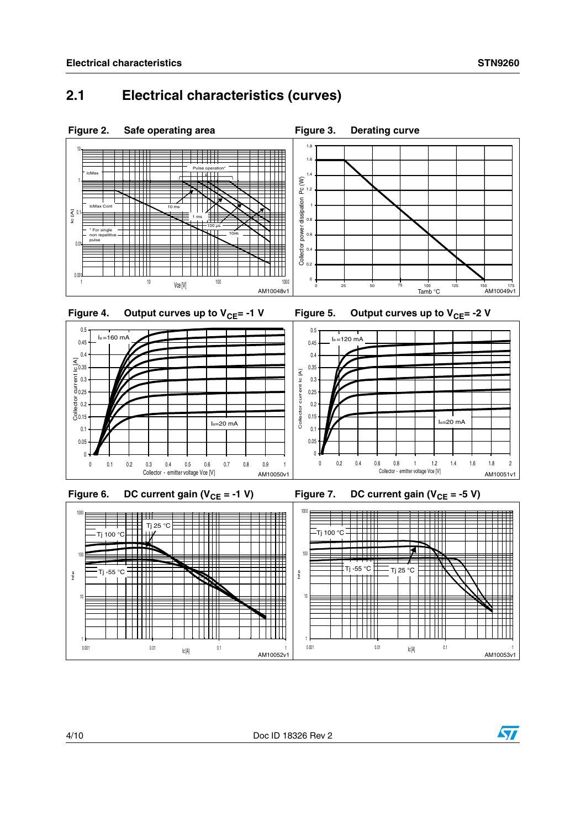#### **2.1 Electrical characteristics (curves)**



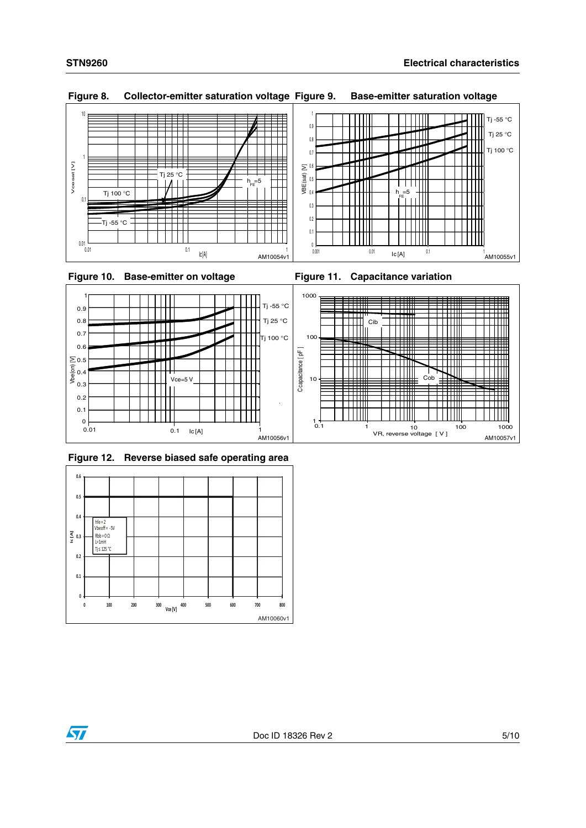

**Figure 8. Collector-emitter saturation voltage Figure 9. Base-emitter saturation voltage**



**Figure 12. Reverse biased safe operating area**



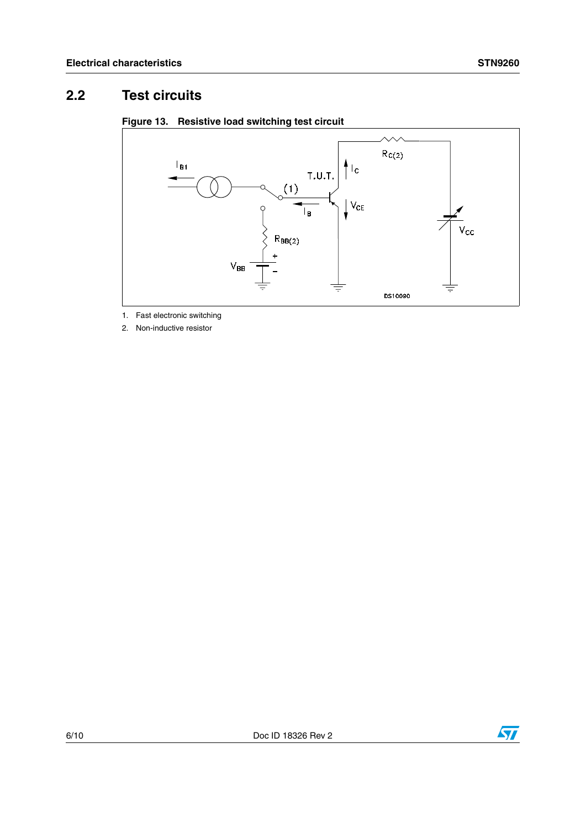### **2.2 Test circuits**





1. Fast electronic switching

2. Non-inductive resistor



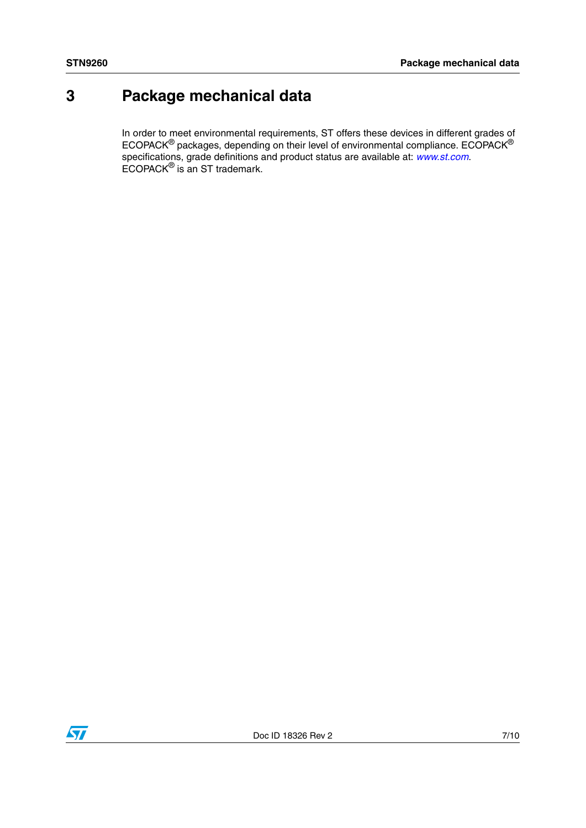## **3 Package mechanical data**

In order to meet environmental requirements, ST offers these devices in different grades of ECOPACK $^{\circledR}$  packages, depending on their level of environmental compliance. ECOPACK $^{\circledR}$ specifications, grade definitions and product status are available at: *[www.st.com](http://www.st.com)*. ECOPACK® is an ST trademark.

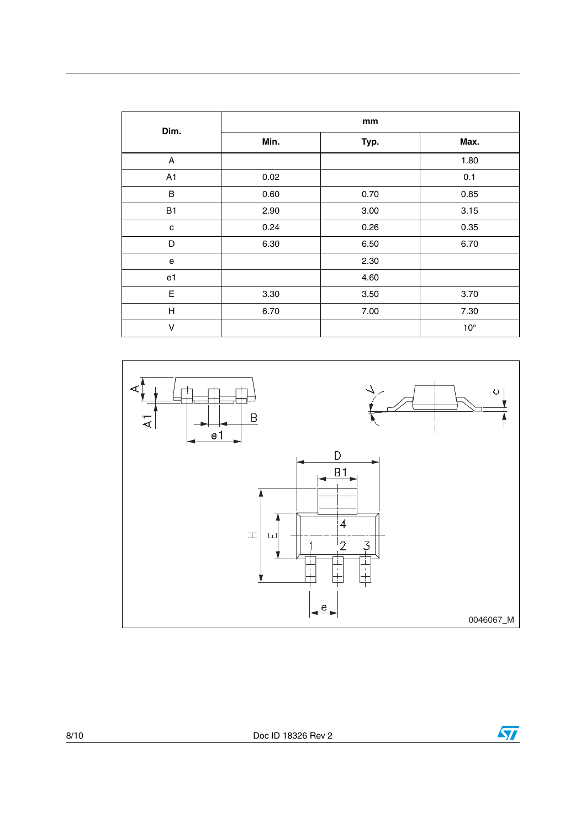| Dim.      | mm   |      |              |  |
|-----------|------|------|--------------|--|
|           | Min. | Typ. | Max.         |  |
| A         |      |      | 1.80         |  |
| A1        | 0.02 |      | 0.1          |  |
| $\sf B$   | 0.60 | 0.70 | 0.85         |  |
| <b>B1</b> | 2.90 | 3.00 | 3.15         |  |
| c         | 0.24 | 0.26 | 0.35         |  |
| D         | 6.30 | 6.50 | 6.70         |  |
| е         |      | 2.30 |              |  |
| e1        |      | 4.60 |              |  |
| E         | 3.30 | 3.50 | 3.70         |  |
| Н         | 6.70 | 7.00 | 7.30         |  |
| $\vee$    |      |      | $10^{\circ}$ |  |



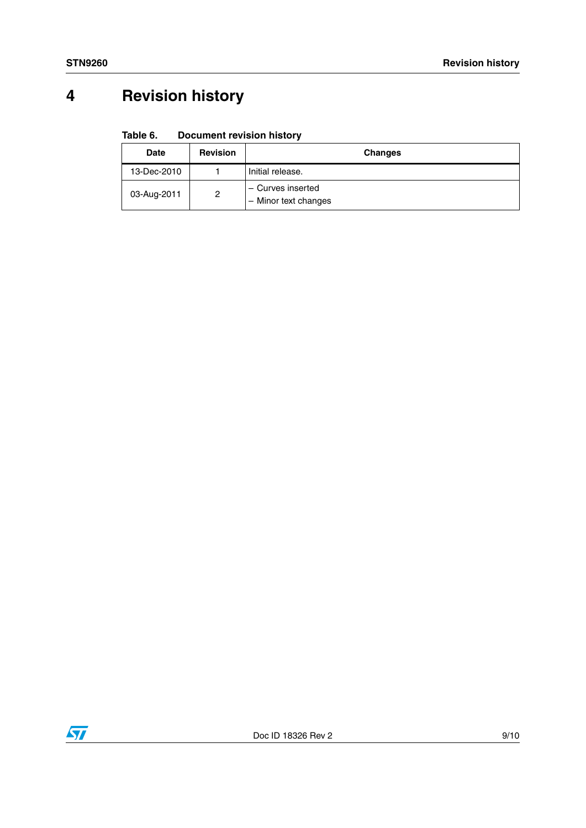## **4 Revision history**

#### Table 6. **Document revision history**

| <b>Date</b> | <b>Revision</b> | <b>Changes</b>                                                      |
|-------------|-----------------|---------------------------------------------------------------------|
| 13-Dec-2010 |                 | Initial release.                                                    |
| 03-Aug-2011 | 2               | - Curves inserted<br>Minor text changes<br>$\overline{\phantom{m}}$ |